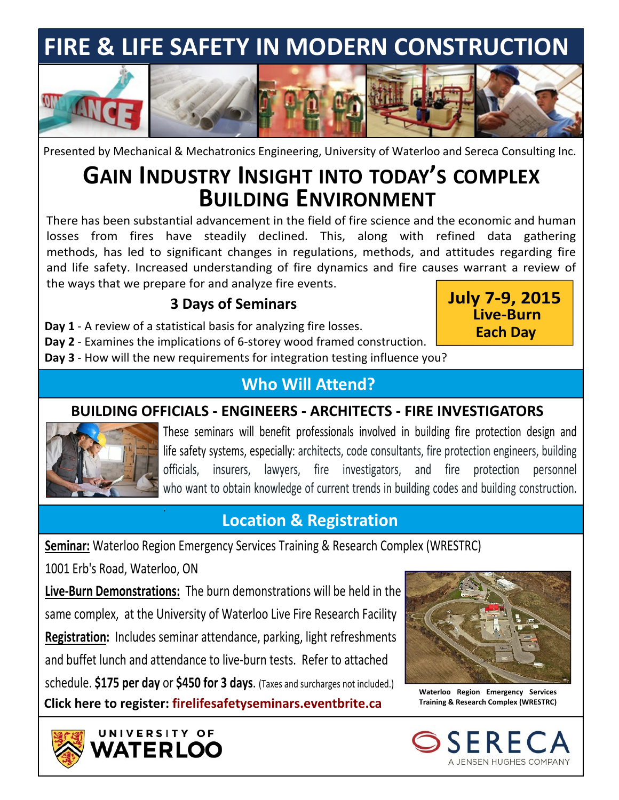# **FIRE & LIFE SAFETY IN MODERN CONSTRUCTION**



Presented by Mechanical & Mechatronics Engineering, University of Waterloo and Sereca Consulting Inc.

## **BUILDING ENVIRONMENT GAIN INDUSTRY INSIGHT INTO TODAY'S COMPLEX**

There has been substantial advancement in the field of fire science and the economic and human losses from fires have steadily declined. This, along with refined data gathering methods, has led to significant changes in regulations, methods, and attitudes regarding fire and life safety. Increased understanding of fire dynamics and fire causes warrant a review of the ways that we prepare for and analyze fire events.

#### **3 Days of Seminars**

**Day 1** - A review of a statistical basis for analyzing fire losses.

**July 7-9, 2015 Live-Burn Each Day**

**Day 2** - Examines the implications of 6-storey wood framed construction. **Day 3** - How will the new requirements for integration testing influence you?

### **Who Will Attend?**

#### **BUILDING OFFICIALS - ENGINEERS - ARCHITECTS - FIRE INVESTIGATORS**



These seminars will benefit professionals involved in building fire protection design and life safety systems, especially: architects, code consultants, fire protection engineers, building officials, insurers, lawyers, fire investigators, and fire protection personnel who want to obtain knowledge of current trends in building codes and building construction.

## **Location & Registration**

**Seminar:** Waterloo Region Emergency Services Training & Research Complex (WRESTRC)

1001 Erb's Road, Waterloo, ON

.

UNIVERSITY OF **ATERLOO** 

**Live-Burn Demonstrations:** The burn demonstrations will be held in the same complex, at the University of Waterloo Live Fire Research Facility **Registration:** Includes seminar attendance, parking, light refreshments and buffet lunch and attendance to live-burn tests. Refer to attached schedule. **\$175 per day** or **\$450 for 3 days**. (Taxes and surcharges not included.) **Click here to register: Training & Research Complex (WRESTRC) [firelifesafetyseminars.eventbrite.ca](http://firelifesafetyseminars.eventbrite.ca)**



**Waterloo Region Emergency Services**

A JENSEN HUGHES COMPANY

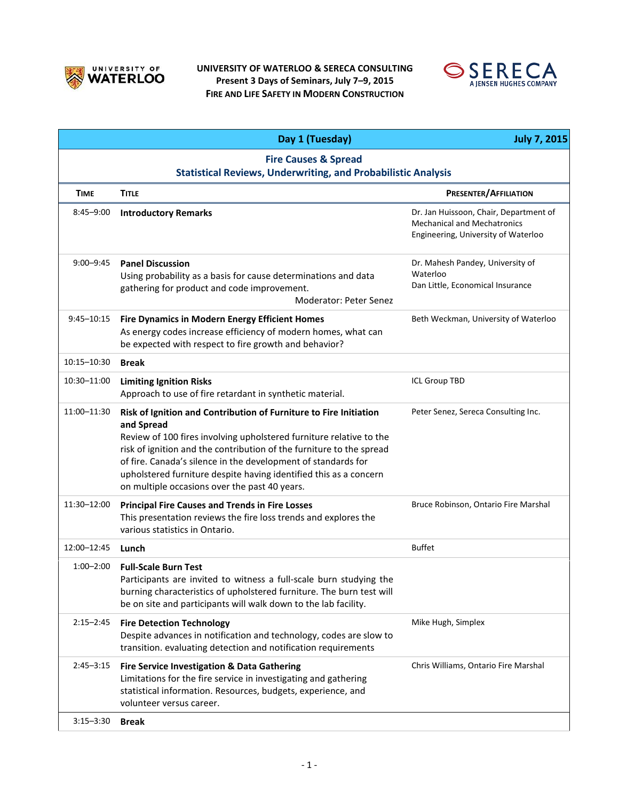

#### **UNIVERSITY OF WATERLOO & SERECA CONSULTING Present 3 Days of Seminars, July 7–9, 2015 FIRE AND LIFE SAFETY IN MODERN CONSTRUCTION**



|                                                                                                         | Day 1 (Tuesday)                                                                                                                                                                                                                                                                                                                                                                                                       | <b>July 7, 2015</b>                                                                                                 |  |
|---------------------------------------------------------------------------------------------------------|-----------------------------------------------------------------------------------------------------------------------------------------------------------------------------------------------------------------------------------------------------------------------------------------------------------------------------------------------------------------------------------------------------------------------|---------------------------------------------------------------------------------------------------------------------|--|
| <b>Fire Causes &amp; Spread</b><br><b>Statistical Reviews, Underwriting, and Probabilistic Analysis</b> |                                                                                                                                                                                                                                                                                                                                                                                                                       |                                                                                                                     |  |
| <b>TIME</b>                                                                                             | <b>TITLE</b>                                                                                                                                                                                                                                                                                                                                                                                                          | <b>PRESENTER/AFFILIATION</b>                                                                                        |  |
| $8:45 - 9:00$                                                                                           | <b>Introductory Remarks</b>                                                                                                                                                                                                                                                                                                                                                                                           | Dr. Jan Huissoon, Chair, Department of<br><b>Mechanical and Mechatronics</b><br>Engineering, University of Waterloo |  |
| $9:00 - 9:45$                                                                                           | <b>Panel Discussion</b><br>Using probability as a basis for cause determinations and data<br>gathering for product and code improvement.<br><b>Moderator: Peter Senez</b>                                                                                                                                                                                                                                             | Dr. Mahesh Pandey, University of<br>Waterloo<br>Dan Little, Economical Insurance                                    |  |
| 9:45-10:15                                                                                              | <b>Fire Dynamics in Modern Energy Efficient Homes</b><br>As energy codes increase efficiency of modern homes, what can<br>be expected with respect to fire growth and behavior?                                                                                                                                                                                                                                       | Beth Weckman, University of Waterloo                                                                                |  |
| 10:15-10:30                                                                                             | <b>Break</b>                                                                                                                                                                                                                                                                                                                                                                                                          |                                                                                                                     |  |
| 10:30-11:00                                                                                             | <b>Limiting Ignition Risks</b><br>Approach to use of fire retardant in synthetic material.                                                                                                                                                                                                                                                                                                                            | <b>ICL Group TBD</b>                                                                                                |  |
| 11:00-11:30                                                                                             | Risk of Ignition and Contribution of Furniture to Fire Initiation<br>and Spread<br>Review of 100 fires involving upholstered furniture relative to the<br>risk of ignition and the contribution of the furniture to the spread<br>of fire. Canada's silence in the development of standards for<br>upholstered furniture despite having identified this as a concern<br>on multiple occasions over the past 40 years. | Peter Senez, Sereca Consulting Inc.                                                                                 |  |
| 11:30-12:00                                                                                             | <b>Principal Fire Causes and Trends in Fire Losses</b><br>This presentation reviews the fire loss trends and explores the<br>various statistics in Ontario.                                                                                                                                                                                                                                                           | Bruce Robinson, Ontario Fire Marshal                                                                                |  |
| 12:00-12:45                                                                                             | Lunch                                                                                                                                                                                                                                                                                                                                                                                                                 | <b>Buffet</b>                                                                                                       |  |
| $1:00 - 2:00$                                                                                           | <b>Full-Scale Burn Test</b><br>Participants are invited to witness a full-scale burn studying the<br>burning characteristics of upholstered furniture. The burn test will<br>be on site and participants will walk down to the lab facility.                                                                                                                                                                          |                                                                                                                     |  |
| $2:15 - 2:45$                                                                                           | <b>Fire Detection Technology</b><br>Despite advances in notification and technology, codes are slow to<br>transition. evaluating detection and notification requirements                                                                                                                                                                                                                                              | Mike Hugh, Simplex                                                                                                  |  |
| $2:45 - 3:15$                                                                                           | Fire Service Investigation & Data Gathering<br>Limitations for the fire service in investigating and gathering<br>statistical information. Resources, budgets, experience, and<br>volunteer versus career.                                                                                                                                                                                                            | Chris Williams, Ontario Fire Marshal                                                                                |  |
| $3:15 - 3:30$                                                                                           | <b>Break</b>                                                                                                                                                                                                                                                                                                                                                                                                          |                                                                                                                     |  |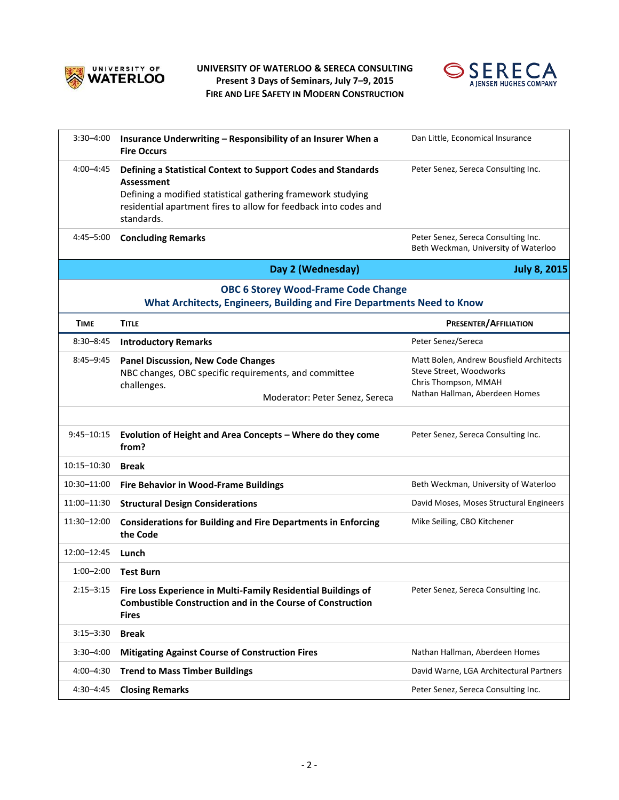

#### **UNIVERSITY OF WATERLOO & SERECA CONSULTING Present 3 Days of Seminars, July 7–9, 2015 FIRE AND LIFE SAFETY IN MODERN CONSTRUCTION**



| 3:30-4:00                                                                                                            | Insurance Underwriting - Responsibility of an Insurer When a<br><b>Fire Occurs</b>                                                                                                                                                   | Dan Little, Economical Insurance                                                                                             |  |
|----------------------------------------------------------------------------------------------------------------------|--------------------------------------------------------------------------------------------------------------------------------------------------------------------------------------------------------------------------------------|------------------------------------------------------------------------------------------------------------------------------|--|
| 4:00-4:45                                                                                                            | Defining a Statistical Context to Support Codes and Standards<br><b>Assessment</b><br>Defining a modified statistical gathering framework studying<br>residential apartment fires to allow for feedback into codes and<br>standards. | Peter Senez, Sereca Consulting Inc.                                                                                          |  |
| 4:45-5:00                                                                                                            | <b>Concluding Remarks</b>                                                                                                                                                                                                            | Peter Senez, Sereca Consulting Inc.<br>Beth Weckman, University of Waterloo                                                  |  |
|                                                                                                                      | Day 2 (Wednesday)                                                                                                                                                                                                                    | <b>July 8, 2015</b>                                                                                                          |  |
| <b>OBC 6 Storey Wood-Frame Code Change</b><br>What Architects, Engineers, Building and Fire Departments Need to Know |                                                                                                                                                                                                                                      |                                                                                                                              |  |
| <b>TIME</b>                                                                                                          | <b>TITLE</b>                                                                                                                                                                                                                         | <b>PRESENTER/AFFILIATION</b>                                                                                                 |  |
| $8:30 - 8:45$                                                                                                        | <b>Introductory Remarks</b>                                                                                                                                                                                                          | Peter Senez/Sereca                                                                                                           |  |
| $8:45 - 9:45$                                                                                                        | <b>Panel Discussion, New Code Changes</b><br>NBC changes, OBC specific requirements, and committee<br>challenges.<br>Moderator: Peter Senez, Sereca                                                                                  | Matt Bolen, Andrew Bousfield Architects<br>Steve Street, Woodworks<br>Chris Thompson, MMAH<br>Nathan Hallman, Aberdeen Homes |  |
| 9:45-10:15                                                                                                           | Evolution of Height and Area Concepts - Where do they come<br>from?                                                                                                                                                                  | Peter Senez, Sereca Consulting Inc.                                                                                          |  |
| 10:15-10:30                                                                                                          | <b>Break</b>                                                                                                                                                                                                                         |                                                                                                                              |  |
| 10:30-11:00                                                                                                          | <b>Fire Behavior in Wood-Frame Buildings</b>                                                                                                                                                                                         | Beth Weckman, University of Waterloo                                                                                         |  |
| 11:00-11:30                                                                                                          | <b>Structural Design Considerations</b>                                                                                                                                                                                              | David Moses, Moses Structural Engineers                                                                                      |  |
| 11:30-12:00                                                                                                          | <b>Considerations for Building and Fire Departments in Enforcing</b><br>the Code                                                                                                                                                     | Mike Seiling, CBO Kitchener                                                                                                  |  |
| 12:00-12:45                                                                                                          | Lunch                                                                                                                                                                                                                                |                                                                                                                              |  |
| $1:00 - 2:00$                                                                                                        | <b>Test Burn</b>                                                                                                                                                                                                                     |                                                                                                                              |  |
| $2:15 - 3:15$                                                                                                        | Fire Loss Experience in Multi-Family Residential Buildings of<br><b>Combustible Construction and in the Course of Construction</b><br><b>Fires</b>                                                                                   | Peter Senez, Sereca Consulting Inc.                                                                                          |  |
| $3:15 - 3:30$                                                                                                        | <b>Break</b>                                                                                                                                                                                                                         |                                                                                                                              |  |
| $3:30 - 4:00$                                                                                                        | <b>Mitigating Against Course of Construction Fires</b>                                                                                                                                                                               | Nathan Hallman, Aberdeen Homes                                                                                               |  |
| 4:00-4:30                                                                                                            | <b>Trend to Mass Timber Buildings</b>                                                                                                                                                                                                | David Warne, LGA Architectural Partners                                                                                      |  |
| $4:30 - 4:45$                                                                                                        | <b>Closing Remarks</b>                                                                                                                                                                                                               | Peter Senez, Sereca Consulting Inc.                                                                                          |  |